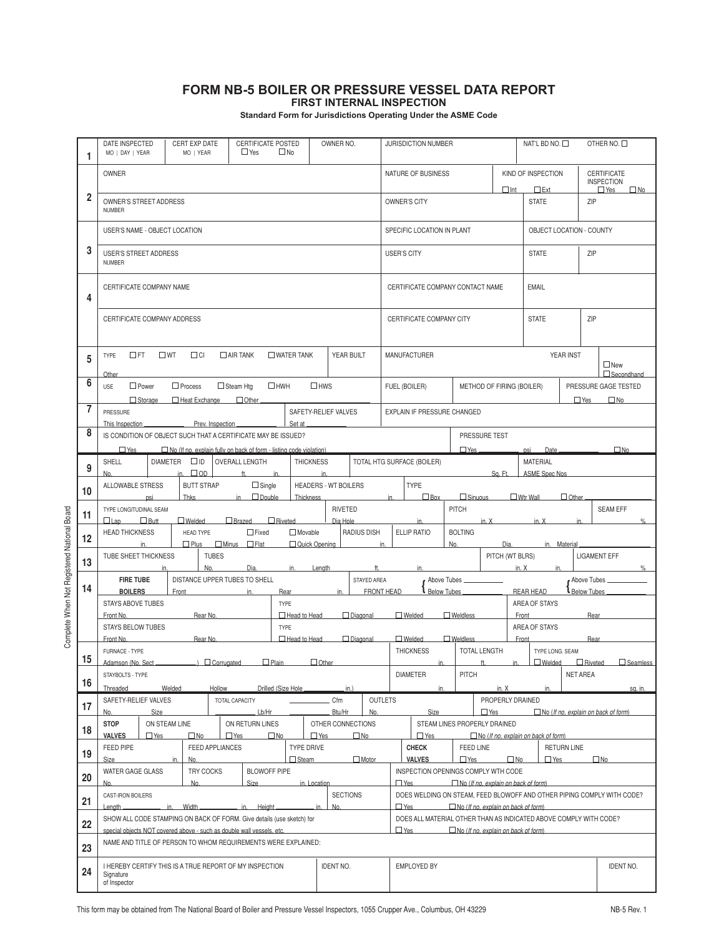## **FORM NB-5 BOILER OR PRESSURE VESSEL DATA REPORT FIRST INTERNAL INSPECTION**

**Standard Form for Jurisdictions Operating Under the ASME Code**

|                | DATE INSPECTED<br>CERT EXP DATE<br>MO   DAY   YEAR<br>MO   YEAR<br>$\Box$ Yes                                                                                                                                              |                                                               |  | <b>CERTIFICATE POSTED</b> | OWNER NO.<br>$\square$ No                       |              |                 | JURISDICTION NUMBER                                                                                |                                                                                                                                                                                           |  |               | NAT'L BD NO. □<br>OTHER NO. □                             |                                                    |                                         |  |
|----------------|----------------------------------------------------------------------------------------------------------------------------------------------------------------------------------------------------------------------------|---------------------------------------------------------------|--|---------------------------|-------------------------------------------------|--------------|-----------------|----------------------------------------------------------------------------------------------------|-------------------------------------------------------------------------------------------------------------------------------------------------------------------------------------------|--|---------------|-----------------------------------------------------------|----------------------------------------------------|-----------------------------------------|--|
|                | <b>OWNER</b>                                                                                                                                                                                                               |                                                               |  |                           |                                                 |              |                 |                                                                                                    | NATURE OF BUSINESS                                                                                                                                                                        |  |               | KIND OF INSPECTION                                        |                                                    | <b>CERTIFICATE</b><br><b>INSPECTION</b> |  |
| $\overline{2}$ | OWNER'S STREET ADDRESS<br><b>NUMBER</b>                                                                                                                                                                                    |                                                               |  |                           |                                                 |              |                 |                                                                                                    | $\Box$ Int<br>OWNER'S CITY                                                                                                                                                                |  |               | $\square$ Ext<br>$\Box$ Yes<br><b>STATE</b><br>ZIP        |                                                    | $\square$ No                            |  |
|                | USER'S NAME - OBJECT LOCATION                                                                                                                                                                                              |                                                               |  |                           |                                                 |              |                 |                                                                                                    | SPECIFIC LOCATION IN PLANT                                                                                                                                                                |  |               |                                                           | OBJECT LOCATION - COUNTY                           |                                         |  |
| 3              | <b>USER'S STREET ADDRESS</b><br><b>NUMBER</b>                                                                                                                                                                              |                                                               |  |                           |                                                 |              |                 | <b>USER'S CITY</b>                                                                                 |                                                                                                                                                                                           |  |               | <b>STATE</b>                                              | ZIP                                                |                                         |  |
| 4              | CERTIFICATE COMPANY NAME                                                                                                                                                                                                   |                                                               |  |                           |                                                 |              |                 | CERTIFICATE COMPANY CONTACT NAME                                                                   |                                                                                                                                                                                           |  |               | <b>EMAIL</b>                                              |                                                    |                                         |  |
|                | CERTIFICATE COMPANY ADDRESS                                                                                                                                                                                                |                                                               |  |                           |                                                 |              |                 |                                                                                                    | CERTIFICATE COMPANY CITY                                                                                                                                                                  |  |               |                                                           | <b>STATE</b><br>ZIP                                |                                         |  |
| 5              | $\Box$ FT<br>$\square$ WT<br>$\Box$ CI<br>$\Box$ AIR TANK<br>$\square$ WATER TANK<br>YEAR BUILT<br>TYPE<br>Other                                                                                                           |                                                               |  |                           |                                                 |              |                 |                                                                                                    | <b>MANUFACTURER</b>                                                                                                                                                                       |  |               |                                                           | YEAR INST<br>$\Box$ New<br>$\Box$ Secondhand       |                                         |  |
| 6              | $\Box$ Power<br>$\Box$ Process<br>$\Box$ Steam Htg<br>$\Box$ HWH<br>$\Box$ HWS<br><b>USE</b><br>□ Heat Exchange □ Other<br>$\Box$ Storage                                                                                  |                                                               |  |                           |                                                 |              |                 |                                                                                                    | METHOD OF FIRING (BOILER)<br>FUEL (BOILER)                                                                                                                                                |  |               |                                                           | PRESSURE GAGE TESTED<br>$\Box$ No<br>$\square$ Yes |                                         |  |
| 7              | PRESSURE<br>SAFETY-RELIEF VALVES<br>EXPLAIN IF PRESSURE CHANGED<br>Prev. Inspection.<br>Set at<br>This Inspection                                                                                                          |                                                               |  |                           |                                                 |              |                 |                                                                                                    |                                                                                                                                                                                           |  |               |                                                           |                                                    |                                         |  |
| 8              | IS CONDITION OF OBJECT SUCH THAT A CERTIFICATE MAY BE ISSUED?<br>$\Box$ Yes<br>$\Box$ No (If no, explain fully on back of form - listing code violation)                                                                   |                                                               |  |                           |                                                 |              |                 |                                                                                                    | PRESSURE TEST<br>$\Box$ Yes<br>psi<br>Date                                                                                                                                                |  |               |                                                           |                                                    | $\square$ No                            |  |
| 9              | $\square$ ID<br><b>SHELL</b><br><b>DIAMETER</b><br><b>OVERALL LENGTH</b><br><b>THICKNESS</b><br>$\Box$ OD<br>ft.<br>in.<br>in.<br>No.                                                                                      |                                                               |  |                           |                                                 |              |                 |                                                                                                    | TOTAL HTG SURFACE (BOILER)<br><b>MATERIAL</b><br>Sa. Ft.<br><b>ASME Spec Nos</b>                                                                                                          |  |               |                                                           |                                                    |                                         |  |
| 10             | TYPE<br>ALLOWABLE STRESS<br><b>BUTT STRAP</b><br>$\Box$ Single<br><b>HEADERS - WT BOILERS</b><br>$\Box$ Box<br>$\Box$ Wtr Wall<br>Thks<br>$\Box$ Double<br>$\Box$ Sinuous<br>$\Box$ Other<br>psi<br>in<br>Thickness<br>in. |                                                               |  |                           |                                                 |              |                 |                                                                                                    |                                                                                                                                                                                           |  |               |                                                           |                                                    |                                         |  |
| 11             | <b>RIVETED</b><br>TYPE LONGITUDINAL SEAM<br>$\Box$ Welded<br>□ Brazed □ Riveted<br>Dia Hole<br>$\Box$ Lap<br>But                                                                                                           |                                                               |  |                           |                                                 |              |                 | <b>PITCH</b><br><b>SEAM EFF</b><br>in.<br>in. $X$<br>in. X<br>in.<br>$\%$                          |                                                                                                                                                                                           |  |               |                                                           |                                                    |                                         |  |
| 12             | $\Box$ Fixed<br><b>RADIUS DISH</b><br><b>HEAD THICKNESS</b><br>$\Box$ Movable<br>HEAD TYPE<br>P <sub>lus</sub><br>$\Box$ Minus $\Box$ Flat<br>Quick Opening<br>in.                                                         |                                                               |  |                           |                                                 |              |                 |                                                                                                    | ELLIP RATIO<br><b>BOLTING</b><br>No.<br>in.<br>Dia.<br>in. Material                                                                                                                       |  |               |                                                           |                                                    |                                         |  |
| 13             | <b>TUBES</b><br>TUBE SHEET THICKNESS<br>ft.                                                                                                                                                                                |                                                               |  |                           |                                                 |              |                 | PITCH (WT BLRS)<br><b>LIGAMENT EFF</b><br>in. $X$<br>$\frac{9}{6}$<br>in<br>in.                    |                                                                                                                                                                                           |  |               |                                                           |                                                    |                                         |  |
| 14             | No.<br>Dia.<br>in.<br>Length<br><b>FIRE TUBE</b><br>DISTANCE UPPER TUBES TO SHELL<br>STAYED AREA                                                                                                                           |                                                               |  |                           |                                                 |              |                 | Above Tubes<br>Above Tubes_<br>Below Tubes<br><b>Below Tubes</b><br>FRONT HEAD<br><b>REAR HEAD</b> |                                                                                                                                                                                           |  |               |                                                           |                                                    |                                         |  |
|                | <b>BOILERS</b><br>Front<br>in.<br>Rear<br>in.<br><b>STAYS ABOVE TUBES</b><br><b>TYPE</b>                                                                                                                                   |                                                               |  |                           |                                                 |              |                 | AREA OF STAYS                                                                                      |                                                                                                                                                                                           |  |               |                                                           |                                                    |                                         |  |
|                | $\Box$ Head to Head<br>Front No.<br>Rear No.<br><b>STAYS BELOW TUBES</b><br><b>TYPE</b>                                                                                                                                    |                                                               |  |                           |                                                 |              | $\Box$ Diagonal | $\Box$ Welded<br>$\Box$ Weldless                                                                   |                                                                                                                                                                                           |  |               | Front<br>Rear<br>AREA OF STAYS                            |                                                    |                                         |  |
|                | $\Box$ Head to Head<br>$\Box$ Diagonal<br>Front No.<br>Rear No.                                                                                                                                                            |                                                               |  |                           |                                                 |              |                 | $\Box$ Welded<br>$\Box$ Weldless<br>Front                                                          |                                                                                                                                                                                           |  |               |                                                           | Rear                                               |                                         |  |
| 15             | FURNACE - TYPE<br>Adamson (No. Sect.<br>$\bigcap$ Corrupated<br>$\Box$ Plain<br>$\Box$ Other                                                                                                                               |                                                               |  |                           |                                                 |              |                 | <b>THICKNESS</b><br><b>TOTAL LENGTH</b><br>#<br>in                                                 |                                                                                                                                                                                           |  | $\mathsf{in}$ | TYPE LONG. SEAM<br>Melded<br>□ Riveted<br>$\Box$ Seamless |                                                    |                                         |  |
| 16             | STAYBOLTS - TYPE                                                                                                                                                                                                           |                                                               |  |                           |                                                 |              |                 |                                                                                                    | <b>DIAMETER</b><br><b>PITCH</b>                                                                                                                                                           |  |               | <b>NET AREA</b>                                           |                                                    |                                         |  |
|                | Threaded<br>Welded<br>Hollow<br>Drilled (Size Hole,<br>$in.$ )<br>SAFETY-RELIEF VALVES<br>TOTAL CAPACITY<br>Cfm                                                                                                            |                                                               |  |                           |                                                 |              |                 |                                                                                                    | in.<br>in. X<br>in.<br>sa. in.<br><b>OUTLETS</b><br>PROPERLY DRAINED                                                                                                                      |  |               |                                                           |                                                    |                                         |  |
| 17             | Size<br>Lb/Hr<br>No.                                                                                                                                                                                                       |                                                               |  |                           | Btu/Hr<br>No.                                   |              |                 | Size<br>$\Box$ Yes                                                                                 |                                                                                                                                                                                           |  |               | $\Box$ No (If no, explain on back of form)                |                                                    |                                         |  |
| 18             | <b>STOP</b><br>ON STEAM LINE<br>ON RETURN LINES<br><b>VALVES</b><br>$\Box$ Yes<br>$\Box$ No<br>$\Box$ Yes<br>$\Box$ No                                                                                                     |                                                               |  |                           | OTHER CONNECTIONS<br>$\Box$ Yes<br>$\square$ No |              |                 | STEAM LINES PROPERLY DRAINED<br>$\Box$ Yes<br>$\Box$ No (If no, explain on back of form)           |                                                                                                                                                                                           |  |               |                                                           |                                                    |                                         |  |
| 19             | FEED PIPE<br><b>FEED APPLIANCES</b><br>Size<br>No.<br>in.                                                                                                                                                                  |                                                               |  |                           | <b>TYPE DRIVE</b><br>Steam<br>$\Box$ Motor      |              |                 |                                                                                                    | <b>CHECK</b><br><b>FEED LINE</b><br><b>VALVES</b><br>$\Box$ Yes                                                                                                                           |  | $\square$ No  | <b>RETURN LINE</b><br>$\square$ No<br>$\Box$ Yes          |                                                    |                                         |  |
| 20             | <b>BLOWOFF PIPE</b><br>WATER GAGE GLASS<br><b>TRY COCKS</b><br>No.<br>No.<br><b>Size</b>                                                                                                                                   |                                                               |  |                           |                                                 | in. Location |                 |                                                                                                    | INSPECTION OPENINGS COMPLY WTH CODE<br>$\Box$ Yes<br>□ No (If no, explain on back of form)                                                                                                |  |               |                                                           |                                                    |                                         |  |
| 21             | <b>SECTIONS</b><br>CAST-IRON BOILERS                                                                                                                                                                                       |                                                               |  |                           |                                                 |              |                 | DOES WELDING ON STEAM, FEED BLOWOFF AND OTHER PIPING COMPLY WITH CODE?                             |                                                                                                                                                                                           |  |               |                                                           |                                                    |                                         |  |
| 22             | Lenath.<br>in. Width<br>in. Height<br>in.<br>No.<br>SHOW ALL CODE STAMPING ON BACK OF FORM. Give details (use sketch) for<br>special objects NOT covered above - such as double wall vessels, etc.                         |                                                               |  |                           |                                                 |              |                 |                                                                                                    | $\Box$ Yes<br>$\Box$ No (If no, explain on back of form)<br>DOES ALL MATERIAL OTHER THAN AS INDICATED ABOVE COMPLY WITH CODE?<br>$\Box$ Yes<br>$\Box$ No (If no, explain on back of form) |  |               |                                                           |                                                    |                                         |  |
| 23             |                                                                                                                                                                                                                            | NAME AND TITLE OF PERSON TO WHOM REQUIREMENTS WERE EXPLAINED: |  |                           |                                                 |              |                 |                                                                                                    |                                                                                                                                                                                           |  |               |                                                           |                                                    |                                         |  |
| 24             | <b>IDENT NO.</b><br>I HEREBY CERTIFY THIS IS A TRUE REPORT OF MY INSPECTION<br>Signature<br>of Inspector                                                                                                                   |                                                               |  |                           |                                                 |              |                 | <b>EMPLOYED BY</b>                                                                                 |                                                                                                                                                                                           |  |               |                                                           |                                                    | <b>IDENT NO.</b>                        |  |

Complete When Not Registered National Board Complete When Not Registered National Board